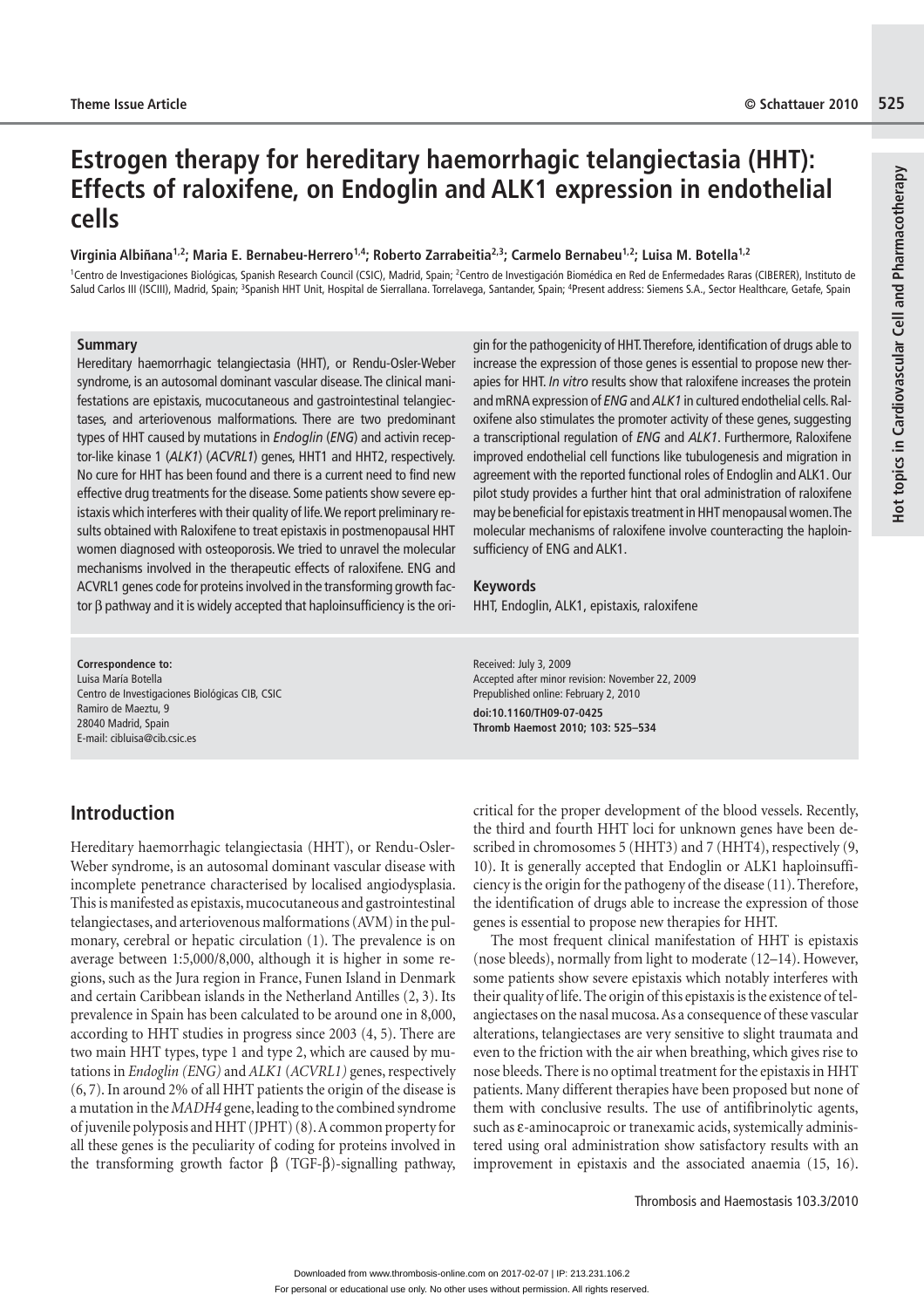# Hot topics in Cardiovascular Cell and Pharmacotherapy **Hot topics in Cardiovascular Cell and Pharmacotherapy**

# **Estrogen therapy for hereditary haemorrhagic telangiectasia (HHT): Effects of raloxifene, on Endoglin and ALK1 expression in endothelial cells**

### **Virginia Albiñana1,2; Maria E. Bernabeu-Herrero1,4; Roberto Zarrabeitia2,3; Carmelo Bernabeu1,2; Luisa M. Botella1,2**

<sup>1</sup>Centro de Investigaciones Biológicas, Spanish Research Council (CSIC), Madrid, Spain; <sup>2</sup>Centro de Investigación Biomédica en Red de Enfermedades Raras (CIBERER), Instituto de Salud Carlos III (ISCIII), Madrid, Spain; <sup>3</sup>Spanish HHT Unit, Hospital de Sierrallana. Torrelavega, Santander, Spain; <sup>4</sup>Present address: Siemens S.A., Sector Healthcare, Getafe, Spain

### **Summary**

Hereditary haemorrhagic telangiectasia (HHT), or Rendu-Osler-Weber syndrome, is an autosomal dominant vascular disease. The clinical manifestations are epistaxis, mucocutaneous and gastrointestinal telangiectases, and arteriovenous malformations. There are two predominant types of HHT caused by mutations in *Endoglin* (*ENG*) and activin receptor-like kinase 1 (*ALK1*) (*ACVRL1*) genes, HHT1 and HHT2, respectively. No cure for HHT has been found and there is a current need to find new effective drug treatments for the disease. Some patients show severe epistaxis which interferes with their quality of life. We report preliminary results obtained with Raloxifene to treat epistaxis in postmenopausal HHT women diagnosed with osteoporosis. We tried to unravel the molecular mechanisms involved in the therapeutic effects of raloxifene. ENG and ACVRL1 genes code for proteins involved in the transforming growth factor β pathway and it is widely accepted that haploinsufficiency is the ori-

**Correspondence to:**  Luisa María Botella Centro de Investigaciones Biológicas CIB, CSIC Ramiro de Maeztu, 9 28040 Madrid, Spain E-mail: cibluisa@cib.csic.es

gin for the pathogenicity of HHT. Therefore, identification of drugs able to increase the expression of those genes is essential to propose new therapies for HHT. *In vitro* results show that raloxifene increases the protein and mRNA expression of *ENG* and *ALK1* in cultured endothelial cells. Raloxifene also stimulates the promoter activity of these genes, suggesting a transcriptional regulation of *ENG* and *ALK1*. Furthermore, Raloxifene improved endothelial cell functions like tubulogenesis and migration in agreement with the reported functional roles of Endoglin and ALK1. Our pilot study provides a further hint that oral administration of raloxifene may be beneficial for epistaxis treatment in HHT menopausal women. The molecular mechanisms of raloxifene involve counteracting the haploinsufficiency of ENG and ALK1.

### **Keywords**

HHT, Endoglin, ALK1, epistaxis, raloxifene

Received: July 3, 2009 Accepted after minor revision: November 22, 2009 Prepublished online: February 2, 2010 **doi:10.1160/TH09-07-0425 Thromb Haemost 2010; 103: 525–534**

# **Introduction**

Hereditary haemorrhagic telangiectasia (HHT), or Rendu-Osler-Weber syndrome, is an autosomal dominant vascular disease with incomplete penetrance characterised by localised angiodysplasia. This is manifested as epistaxis, mucocutaneous and gastrointestinal telangiectases, and arteriovenous malformations (AVM) in the pulmonary, cerebral or hepatic circulation (1). The prevalence is on average between 1:5,000/8,000, although it is higher in some regions, such as the Jura region in France, Funen Island in Denmark and certain Caribbean islands in the Netherland Antilles (2, 3). Its prevalence in Spain has been calculated to be around one in 8,000, according to HHT studies in progress since 2003 (4, 5). There are two main HHT types, type 1 and type 2, which are caused by mutations in *Endoglin (ENG)* and *ALK1* (*ACVRL1)* genes, respectively (6, 7). In around 2% of all HHT patients the origin of the disease is a mutation in the *MADH4* gene, leading to the combined syndrome of juvenile polyposis and HHT (JPHT) (8). A common property for all these genes is the peculiarity of coding for proteins involved in the transforming growth factor  $β$  (TGF- $β$ )-signalling pathway,

critical for the proper development of the blood vessels. Recently, the third and fourth HHT loci for unknown genes have been described in chromosomes 5 (HHT3) and 7 (HHT4), respectively (9, 10). It is generally accepted that Endoglin or ALK1 haploinsufficiency is the origin for the pathogeny of the disease (11). Therefore, the identification of drugs able to increase the expression of those genes is essential to propose new therapies for HHT.

The most frequent clinical manifestation of HHT is epistaxis (nose bleeds), normally from light to moderate (12–14). However, some patients show severe epistaxis which notably interferes with their quality of life. The origin of this epistaxis is the existence of telangiectases on the nasal mucosa. As a consequence of these vascular alterations, telangiectases are very sensitive to slight traumata and even to the friction with the air when breathing, which gives rise to nose bleeds. There is no optimal treatment for the epistaxis in HHT patients. Many different therapies have been proposed but none of them with conclusive results. The use of antifibrinolytic agents, such as ε-aminocaproic or tranexamic acids, systemically administered using oral administration show satisfactory results with an improvement in epistaxis and the associated anaemia (15, 16).

Thrombosis and Haemostasis 103.3/2010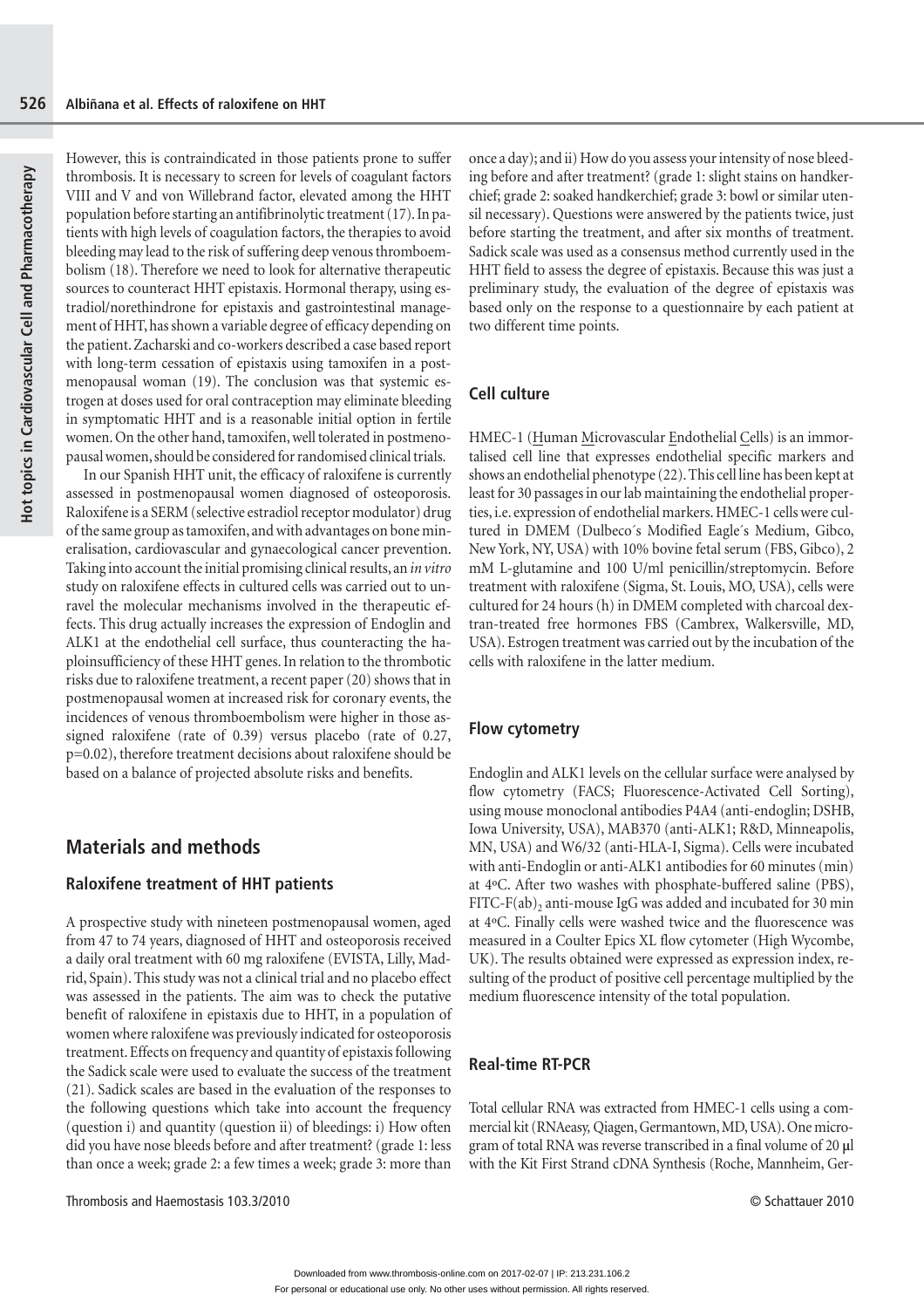However, this is contraindicated in those patients prone to suffer thrombosis. It is necessary to screen for levels of coagulant factors VIII and V and von Willebrand factor, elevated among the HHT population before starting an antifibrinolytic treatment (17). In patients with high levels of coagulation factors, the therapies to avoid bleeding may lead to the risk of suffering deep venous thromboembolism (18). Therefore we need to look for alternative therapeutic sources to counteract HHT epistaxis. Hormonal therapy, using estradiol/norethindrone for epistaxis and gastrointestinal management of HHT, has shown a variable degree of efficacy depending on the patient. Zacharski and co-workers described a case based report with long-term cessation of epistaxis using tamoxifen in a postmenopausal woman (19). The conclusion was that systemic estrogen at doses used for oral contraception may eliminate bleeding in symptomatic HHT and is a reasonable initial option in fertile women. On the other hand, tamoxifen, well tolerated in postmenopausal women, should be considered for randomised clinical trials.

In our Spanish HHT unit, the efficacy of raloxifene is currently assessed in postmenopausal women diagnosed of osteoporosis. Raloxifene is a SERM (selective estradiol receptor modulator) drug of the same group as tamoxifen, and with advantages on bone mineralisation, cardiovascular and gynaecological cancer prevention. Taking into account the initial promising clinical results, an *in vitro*  study on raloxifene effects in cultured cells was carried out to unravel the molecular mechanisms involved in the therapeutic effects. This drug actually increases the expression of Endoglin and ALK1 at the endothelial cell surface, thus counteracting the haploinsufficiency of these HHT genes. In relation to the thrombotic risks due to raloxifene treatment, a recent paper (20) shows that in postmenopausal women at increased risk for coronary events, the incidences of venous thromboembolism were higher in those assigned raloxifene (rate of 0.39) versus placebo (rate of 0.27, p=0.02), therefore treatment decisions about raloxifene should be based on a balance of projected absolute risks and benefits.

### **Materials and methods**

### **Raloxifene treatment of HHT patients**

A prospective study with nineteen postmenopausal women, aged from 47 to 74 years, diagnosed of HHT and osteoporosis received a daily oral treatment with 60 mg raloxifene (EVISTA, Lilly, Madrid, Spain). This study was not a clinical trial and no placebo effect was assessed in the patients. The aim was to check the putative benefit of raloxifene in epistaxis due to HHT, in a population of women where raloxifene was previously indicated for osteoporosis treatment. Effects on frequency and quantity of epistaxis following the Sadick scale were used to evaluate the success of the treatment (21). Sadick scales are based in the evaluation of the responses to the following questions which take into account the frequency (question i) and quantity (question ii) of bleedings: i) How often did you have nose bleeds before and after treatment? (grade 1: less than once a week; grade 2: a few times a week; grade 3: more than

once a day); and ii) How do you assess your intensity of nose bleeding before and after treatment? (grade 1: slight stains on handkerchief; grade 2: soaked handkerchief; grade 3: bowl or similar utensil necessary). Questions were answered by the patients twice, just before starting the treatment, and after six months of treatment. Sadick scale was used as a consensus method currently used in the HHT field to assess the degree of epistaxis. Because this was just a preliminary study, the evaluation of the degree of epistaxis was based only on the response to a questionnaire by each patient at two different time points.

### **Cell culture**

HMEC-1 (Human Microvascular Endothelial Cells) is an immortalised cell line that expresses endothelial specific markers and shows an endothelial phenotype (22). This cell line has been kept at least for 30 passages in our lab maintaining the endothelial properties, i.e. expression of endothelial markers. HMEC-1 cells were cultured in DMEM (Dulbeco´s Modified Eagle´s Medium, Gibco, New York, NY, USA) with 10% bovine fetal serum (FBS, Gibco), 2 mM L-glutamine and 100 U/ml penicillin/streptomycin. Before treatment with raloxifene (Sigma, St. Louis, MO, USA), cells were cultured for 24 hours (h) in DMEM completed with charcoal dextran-treated free hormones FBS (Cambrex, Walkersville, MD, USA). Estrogen treatment was carried out by the incubation of the cells with raloxifene in the latter medium.

### **Flow cytometry**

Endoglin and ALK1 levels on the cellular surface were analysed by flow cytometry (FACS; Fluorescence-Activated Cell Sorting), using mouse monoclonal antibodies P4A4 (anti-endoglin; DSHB, Iowa University, USA), MAB370 (anti-ALK1; R&D, Minneapolis, MN, USA) and W6/32 (anti-HLA-I, Sigma). Cells were incubated with anti-Endoglin or anti-ALK1 antibodies for 60 minutes (min) at 4ºC. After two washes with phosphate-buffered saline (PBS), FITC-F(ab)<sub>2</sub> anti-mouse IgG was added and incubated for 30 min at 4ºC. Finally cells were washed twice and the fluorescence was measured in a Coulter Epics XL flow cytometer (High Wycombe, UK). The results obtained were expressed as expression index, resulting of the product of positive cell percentage multiplied by the medium fluorescence intensity of the total population.

### **Real-time RT-PCR**

Total cellular RNA was extracted from HMEC-1 cells using a commercial kit (RNAeasy*,* Qiagen, Germantown, MD, USA). One microgram of total RNA was reverse transcribed in a final volume of 20 **μ**l with the Kit First Strand cDNA Synthesis (Roche, Mannheim, Ger-

Thrombosis and Haemostasis 103.3/2010 © Schattauer 2010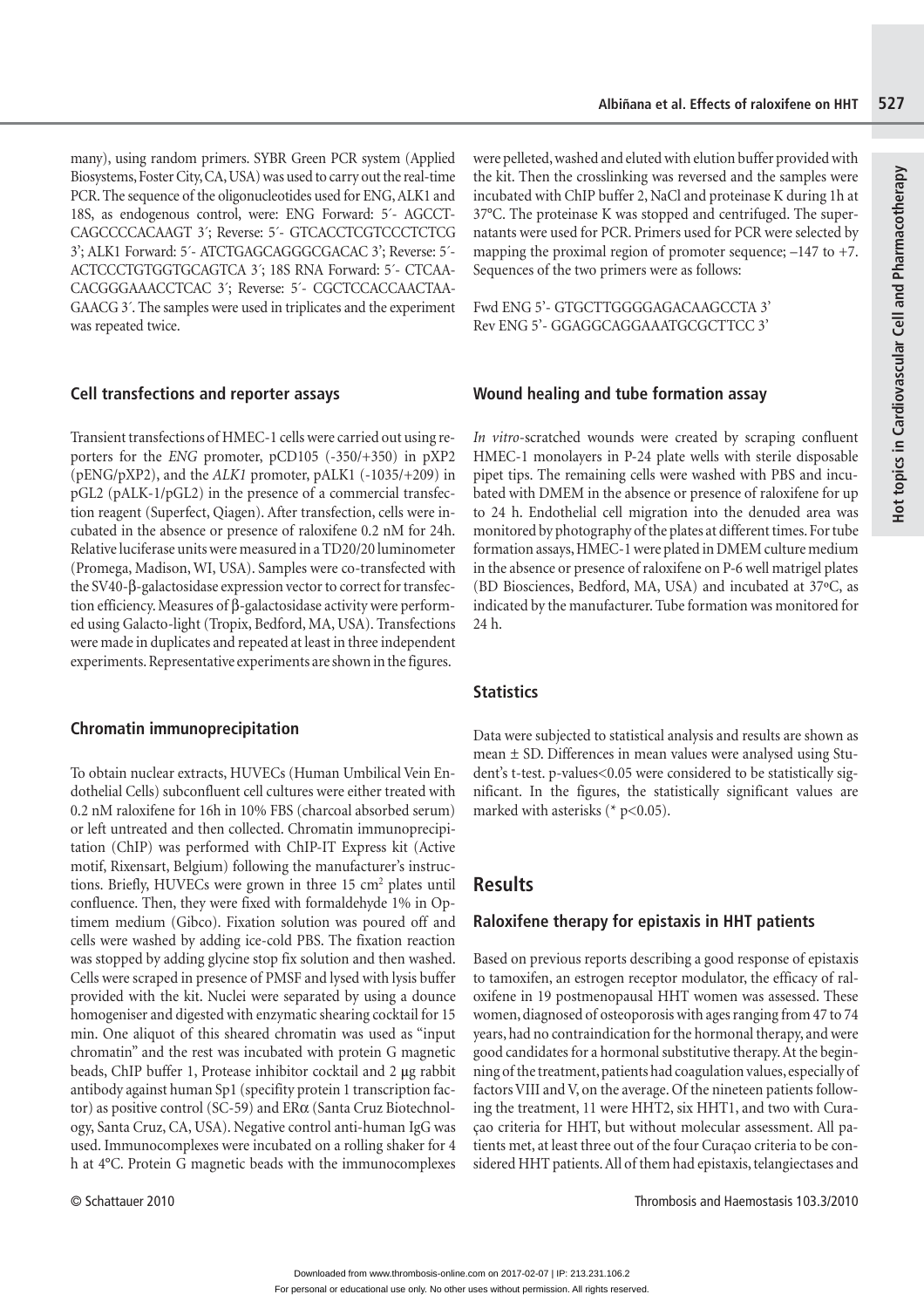many), using random primers. SYBR Green PCR system (Applied Biosystems, Foster City, CA, USA) was used to carry out the real-time PCR. The sequence of the oligonucleotides used for ENG, ALK1 and 18S, as endogenous control, were: ENG Forward: 5´- AGCCT-CAGCCCCACAAGT 3´; Reverse: 5´- GTCACCTCGTCCCTCTCG 3'; ALK1 Forward: 5´- ATCTGAGCAGGGCGACAC 3'; Reverse: 5´- ACTCCCTGTGGTGCAGTCA 3´; 18S RNA Forward: 5´- CTCAA-CACGGGAAACCTCAC 3´; Reverse: 5´- CGCTCCACCAACTAA-GAACG 3´. The samples were used in triplicates and the experiment was repeated twice.

### **Cell transfections and reporter assays**

Transient transfections of HMEC-1 cells were carried out using reporters for the *ENG* promoter, pCD105 (-350/+350) in pXP2 (pENG/pXP2), and the *ALK1* promoter, pALK1 (-1035/+209) in pGL2 (pALK-1/pGL2) in the presence of a commercial transfection reagent (Superfect, Qiagen). After transfection, cells were incubated in the absence or presence of raloxifene 0.2 nM for 24h. Relative luciferase units were measured in a TD20/20 luminometer (Promega, Madison, WI, USA). Samples were co-transfected with the SV40-β-galactosidase expression vector to correct for transfection efficiency. Measures of β-galactosidase activity were performed using Galacto-light (Tropix, Bedford, MA, USA). Transfections were made in duplicates and repeated at least in three independent experiments. Representative experiments are shown in the figures.

# **Chromatin immunoprecipitation**

To obtain nuclear extracts, HUVECs (Human Umbilical Vein Endothelial Cells) subconfluent cell cultures were either treated with 0.2 nM raloxifene for 16h in 10% FBS (charcoal absorbed serum) or left untreated and then collected. Chromatin immunoprecipitation (ChIP) was performed with ChIP-IT Express kit (Active motif, Rixensart, Belgium) following the manufacturer's instructions. Briefly, HUVECs were grown in three 15 cm<sup>2</sup> plates until confluence. Then, they were fixed with formaldehyde 1% in Optimem medium (Gibco). Fixation solution was poured off and cells were washed by adding ice-cold PBS. The fixation reaction was stopped by adding glycine stop fix solution and then washed. Cells were scraped in presence of PMSF and lysed with lysis buffer provided with the kit. Nuclei were separated by using a dounce homogeniser and digested with enzymatic shearing cocktail for 15 min. One aliquot of this sheared chromatin was used as "input chromatin" and the rest was incubated with protein G magnetic beads, ChIP buffer 1, Protease inhibitor cocktail and 2 **μ**g rabbit antibody against human Sp1 (specifity protein 1 transcription factor) as positive control (SC-59) and ERα (Santa Cruz Biotechnology, Santa Cruz, CA, USA). Negative control anti-human IgG was used. Immunocomplexes were incubated on a rolling shaker for 4 h at 4°C. Protein G magnetic beads with the immunocomplexes

were pelleted, washed and eluted with elution buffer provided with the kit. Then the crosslinking was reversed and the samples were incubated with ChIP buffer 2, NaCl and proteinase K during 1h at 37°C. The proteinase K was stopped and centrifuged. The supernatants were used for PCR. Primers used for PCR were selected by mapping the proximal region of promoter sequence;  $-147$  to  $+7$ . Sequences of the two primers were as follows:

Fwd ENG 5'- GTGCTTGGGGAGACAAGCCTA 3' Rev ENG 5'- GGAGGCAGGAAATGCGCTTCC 3'

### **Wound healing and tube formation assay**

*In vitro*-scratched wounds were created by scraping confluent HMEC-1 monolayers in P-24 plate wells with sterile disposable pipet tips. The remaining cells were washed with PBS and incubated with DMEM in the absence or presence of raloxifene for up to 24 h. Endothelial cell migration into the denuded area was monitored by photography of the plates at different times. For tube formation assays, HMEC-1 were plated in DMEM culture medium in the absence or presence of raloxifene on P-6 well matrigel plates (BD Biosciences, Bedford, MA, USA) and incubated at 37ºC, as indicated by the manufacturer. Tube formation was monitored for 24 h.

### **Statistics**

Data were subjected to statistical analysis and results are shown as mean **±** SD. Differences in mean values were analysed using Student's t-test. p-values<0.05 were considered to be statistically significant. In the figures, the statistically significant values are marked with asterisks ( $*$  p<0.05).

# **Results**

### **Raloxifene therapy for epistaxis in HHT patients**

Based on previous reports describing a good response of epistaxis to tamoxifen, an estrogen receptor modulator, the efficacy of raloxifene in 19 postmenopausal HHT women was assessed. These women, diagnosed of osteoporosis with ages ranging from 47 to 74 years, had no contraindication for the hormonal therapy, and were good candidates for a hormonal substitutive therapy. At the beginning of the treatment, patients had coagulation values, especially of factors VIII and V, on the average. Of the nineteen patients following the treatment, 11 were HHT2, six HHT1, and two with Curaçao criteria for HHT, but without molecular assessment. All patients met, at least three out of the four Curaçao criteria to be considered HHT patients. All of them had epistaxis, telangiectases and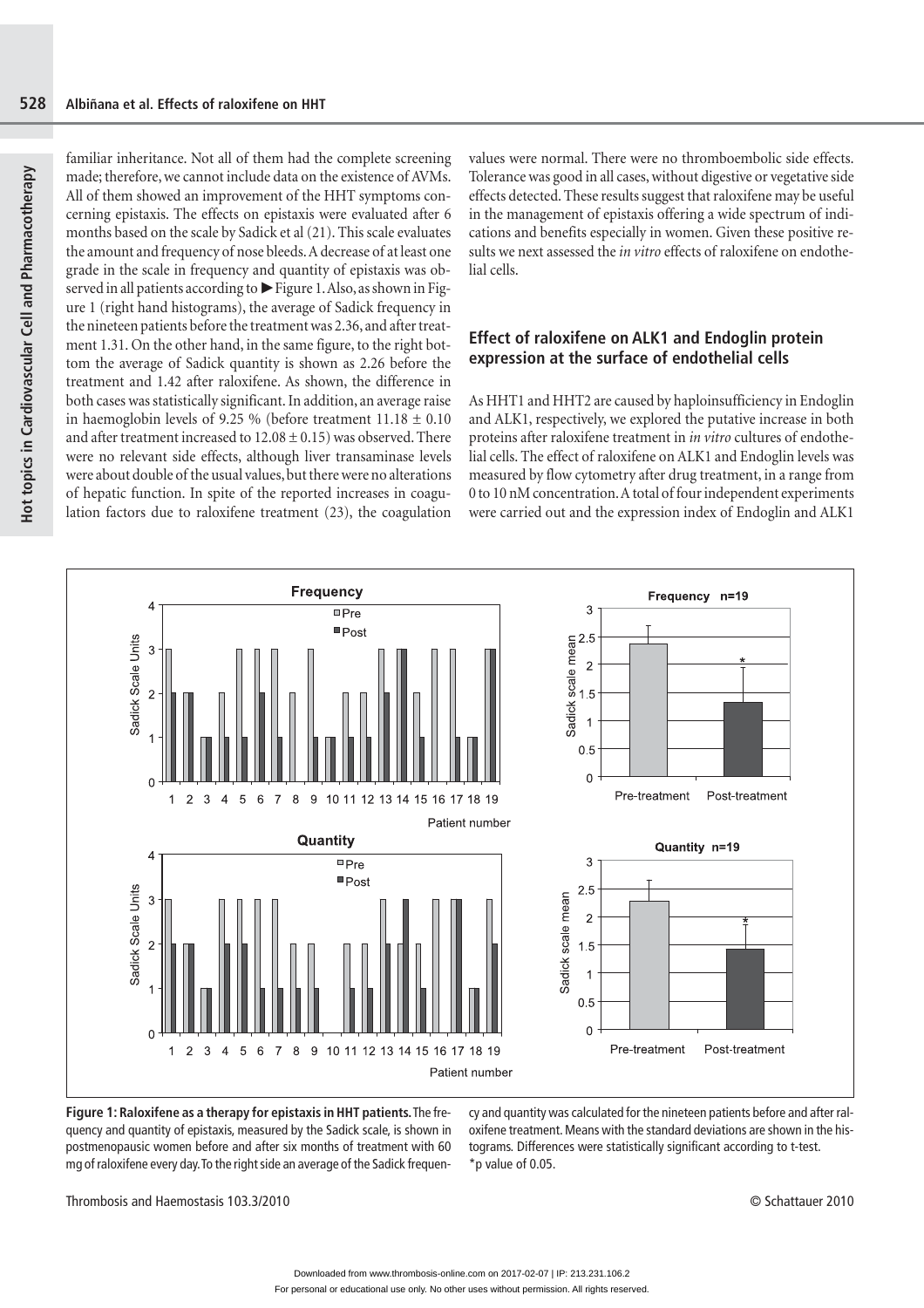familiar inheritance. Not all of them had the complete screening made; therefore, we cannot include data on the existence of AVMs. All of them showed an improvement of the HHT symptoms concerning epistaxis. The effects on epistaxis were evaluated after 6 months based on the scale by Sadick et al (21). This scale evaluates the amount and frequency of nose bleeds. A decrease of at least one grade in the scale in frequency and quantity of epistaxis was observed in all patients according to  $\blacktriangleright$  Figure 1. Also, as shown in Figure 1 (right hand histograms), the average of Sadick frequency in the nineteen patients before the treatment was 2.36, and after treatment 1.31. On the other hand, in the same figure, to the right bottom the average of Sadick quantity is shown as 2.26 before the treatment and 1.42 after raloxifene. As shown, the difference in both cases was statistically significant. In addition, an average raise in haemoglobin levels of 9.25 % (before treatment  $11.18 \pm 0.10$ ) and after treatment increased to  $12.08 \pm 0.15$ ) was observed. There were no relevant side effects, although liver transaminase levels were about double of the usual values, but there were no alterations of hepatic function. In spite of the reported increases in coagulation factors due to raloxifene treatment (23), the coagulation

values were normal. There were no thromboembolic side effects. Tolerance was good in all cases, without digestive or vegetative side effects detected. These results suggest that raloxifene may be useful in the management of epistaxis offering a wide spectrum of indications and benefits especially in women. Given these positive results we next assessed the *in vitro* effects of raloxifene on endothelial cells.

### **Effect of raloxifene on ALK1 and Endoglin protein expression at the surface of endothelial cells**

As HHT1 and HHT2 are caused by haploinsufficiency in Endoglin and ALK1, respectively, we explored the putative increase in both proteins after raloxifene treatment in *in vitro* cultures of endothelial cells. The effect of raloxifene on ALK1 and Endoglin levels was measured by flow cytometry after drug treatment, in a range from 0 to 10 nM concentration. A total of four independent experiments were carried out and the expression index of Endoglin and ALK1



**Figure 1: Raloxifene as a therapy for epistaxis in HHT patients.** The frequency and quantity of epistaxis, measured by the Sadick scale, is shown in postmenopausic women before and after six months of treatment with 60 mg of raloxifene every day. To the right side an average of the Sadick frequency and quantity was calculated for the nineteen patients before and after raloxifene treatment. Means with the standard deviations are shown in the histograms. Differences were statistically significant according to t-test. \*p value of 0.05.

Thrombosis and Haemostasis 103.3/2010 © Schattauer 2010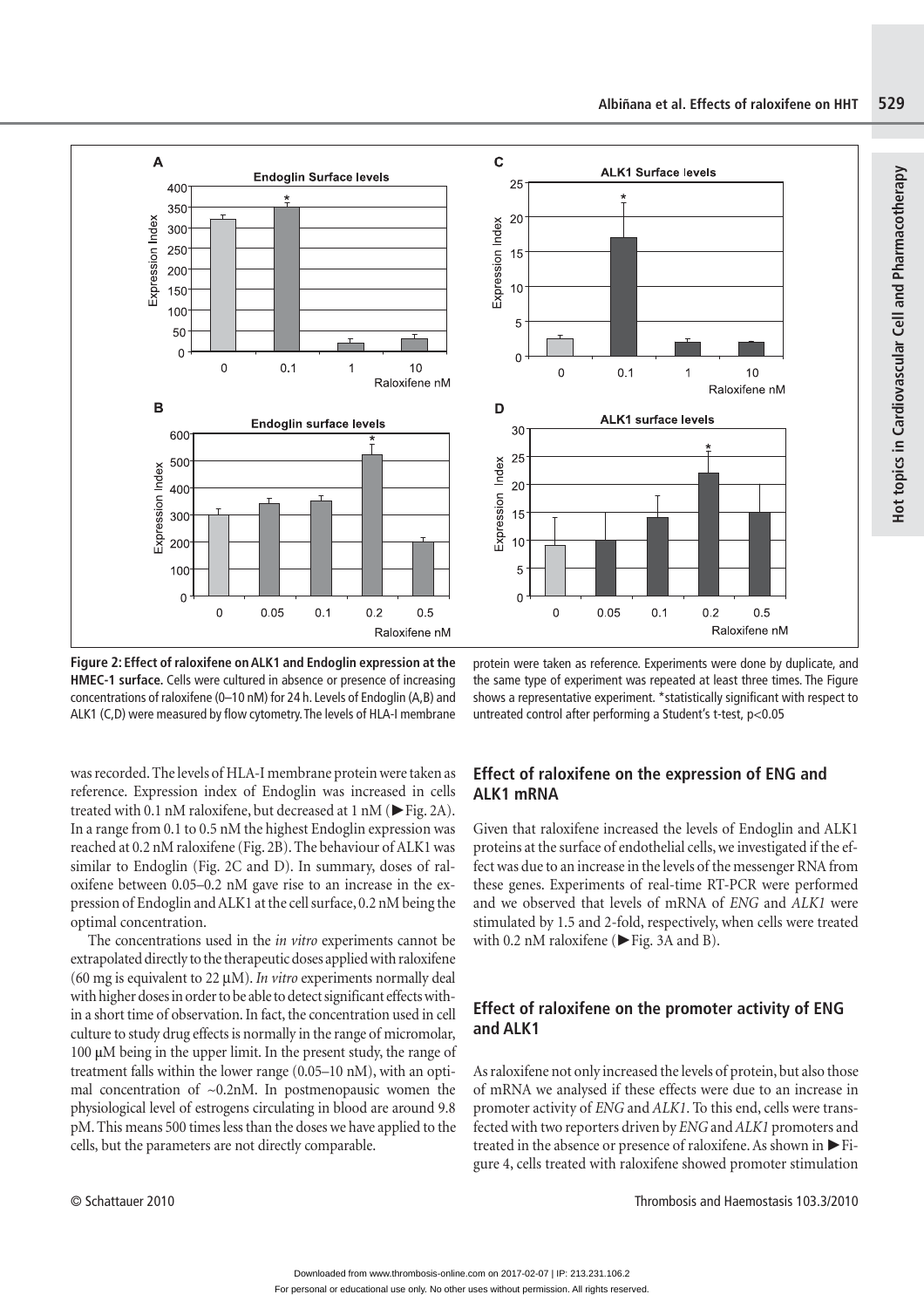**Hot topics in Cardiovascular Cell and Pharmacotherapy**

Hot topics in Cardiovascular Cell and Pharmacotherapy





**Figure 2: Effect of raloxifene on ALK1 and Endoglin expression at the HMEC-1 surface.** Cells were cultured in absence or presence of increasing concentrations of raloxifene (0–10 nM) for 24 h. Levels of Endoglin (A,B) and ALK1 (C,D) were measured by flow cytometry. The levels of HLA-I membrane

protein were taken as reference. Experiments were done by duplicate, and the same type of experiment was repeated at least three times. The Figure shows a representative experiment. \*statistically significant with respect to untreated control after performing a Student's t-test, p<0.05

was recorded. The levels of HLA-I membrane protein were taken as reference. Expression index of Endoglin was increased in cells treated with 0.1 nM raloxifene, but decreased at  $1 \text{ nM}$  ( $\blacktriangleright$  Fig. 2A). In a range from 0.1 to 0.5 nM the highest Endoglin expression was reached at 0.2 nM raloxifene (Fig. 2B). The behaviour of ALK1 was similar to Endoglin (Fig. 2C and D). In summary, doses of raloxifene between 0.05–0.2 nM gave rise to an increase in the expression of Endoglin and ALK1 at the cell surface, 0.2 nM being the optimal concentration.

The concentrations used in the *in vitro* experiments cannot be extrapolated directly to the therapeutic doses applied with raloxifene (60 mg is equivalent to 22 μM). *In vitro* experiments normally deal with higher doses in order to be able to detect significant effects within a short time of observation. In fact, the concentration used in cell culture to study drug effects is normally in the range of micromolar, 100 **μ**M being in the upper limit. In the present study, the range of treatment falls within the lower range (0.05–10 nM), with an optimal concentration of  $\sim 0.2$ nM. In postmenopausic women the physiological level of estrogens circulating in blood are around 9.8 pM. This means 500 times less than the doses we have applied to the cells, but the parameters are not directly comparable.

### **Effect of raloxifene on the expression of ENG and ALK1 mRNA**

Given that raloxifene increased the levels of Endoglin and ALK1 proteins at the surface of endothelial cells, we investigated if the effect was due to an increase in the levels of the messenger RNA from these genes. Experiments of real-time RT-PCR were performed and we observed that levels of mRNA of *ENG* and *ALK1* were stimulated by 1.5 and 2-fold, respectively, when cells were treated with 0.2 nM raloxifene ( $\blacktriangleright$  Fig. 3A and B).

### **Effect of raloxifene on the promoter activity of ENG and ALK1**

As raloxifene not only increased the levels of protein, but also those of mRNA we analysed if these effects were due to an increase in promoter activity of *ENG* and *ALK1*. To this end, cells were transfected with two reporters driven by *ENG* and *ALK1* promoters and treated in the absence or presence of raloxifene. As shown in  $\blacktriangleright$  Figure 4, cells treated with raloxifene showed promoter stimulation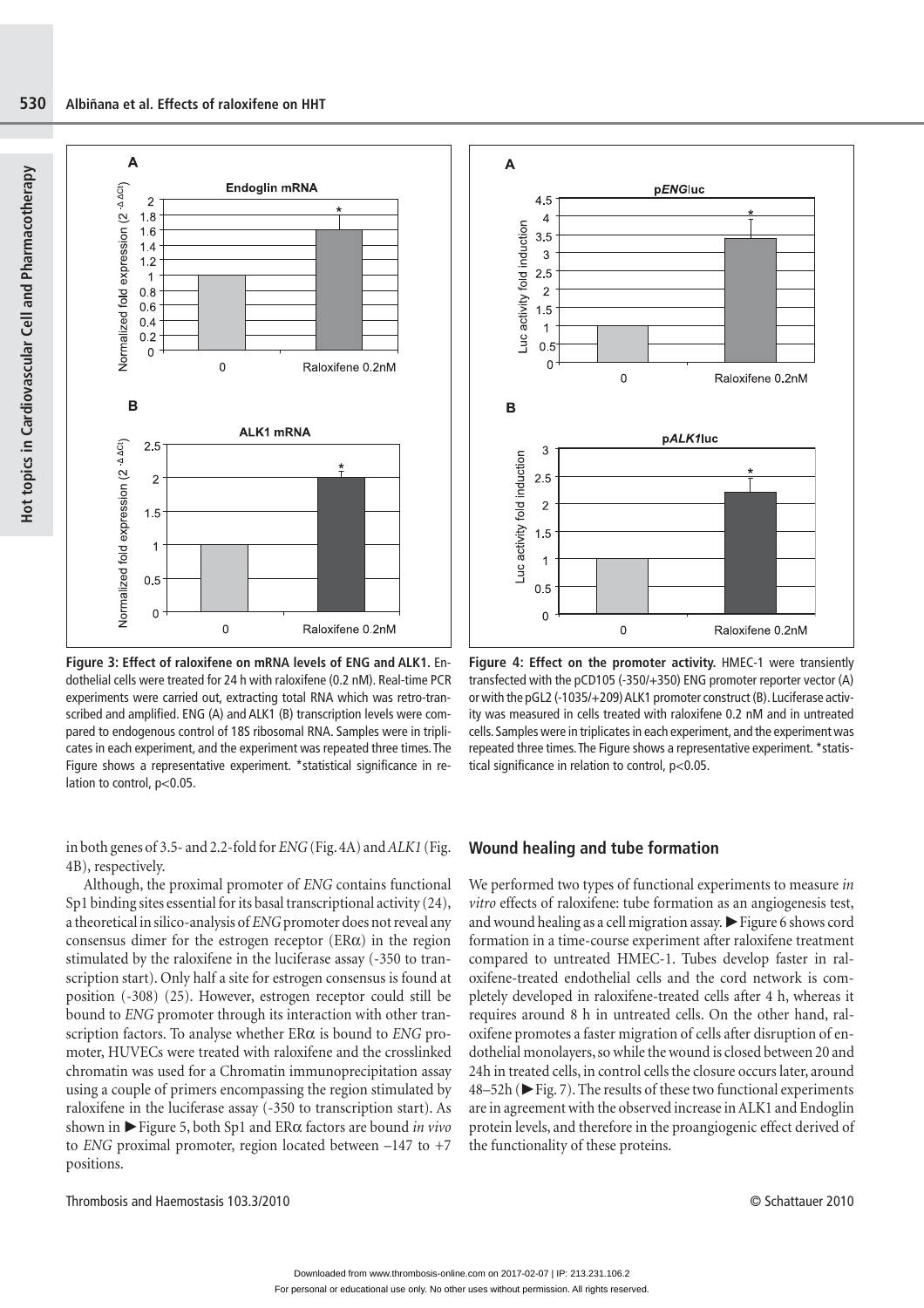**Hot topics in Cardiovascular Cell and Pharmacotherapy**

**Act topics in Cardiovascular Cell and Pharmacotherapy** 



**Figure 3: Effect of raloxifene on mRNA levels of ENG and ALK1.** Endothelial cells were treated for 24 h with raloxifene (0.2 nM). Real-time PCR experiments were carried out, extracting total RNA which was retro-transcribed and amplified. ENG (A) and ALK1 (B) transcription levels were compared to endogenous control of 18S ribosomal RNA. Samples were in triplicates in each experiment, and the experiment was repeated three times. The Figure shows a representative experiment. \*statistical significance in relation to control, p<0.05.

in both genes of 3.5- and 2.2-fold for *ENG* (Fig. 4A) and *ALK1* (Fig. 4B), respectively.

Although, the proximal promoter of *ENG* contains functional Sp1 binding sites essential for its basal transcriptional activity (24), a theoretical in silico-analysis of *ENG* promoter does not reveal any consensus dimer for the estrogen receptor  $(ER\alpha)$  in the region stimulated by the raloxifene in the luciferase assay (-350 to transcription start). Only half a site for estrogen consensus is found at position (-308) (25). However, estrogen receptor could still be bound to *ENG* promoter through its interaction with other transcription factors. To analyse whether ERα is bound to *ENG* promoter, HUVECs were treated with raloxifene and the crosslinked chromatin was used for a Chromatin immunoprecipitation assay using a couple of primers encompassing the region stimulated by raloxifene in the luciferase assay (-350 to transcription start). As shown in ►Figure 5, both Sp1 and ERα factors are bound *in vivo* to *ENG* proximal promoter, region located between –147 to +7 positions.

Thrombosis and Haemostasis 103.3/2010 © Schattauer 2010



**Figure 4: Effect on the promoter activity.** HMEC-1 were transiently transfected with the pCD105 (-350/+350) ENG promoter reporter vector (A) or with the pGL2 (-1035/+209) ALK1 promoter construct (B). Luciferase activity was measured in cells treated with raloxifene 0.2 nM and in untreated cells. Samples were in triplicates in each experiment, and the experiment was repeated three times. The Figure shows a representative experiment. \*statistical significance in relation to control, p<0.05.

### **Wound healing and tube formation**

We performed two types of functional experiments to measure *in vitro* effects of raloxifene: tube formation as an angiogenesis test, and wound healing as a cell migration assay.  $\blacktriangleright$  Figure 6 shows cord formation in a time-course experiment after raloxifene treatment compared to untreated HMEC-1. Tubes develop faster in raloxifene-treated endothelial cells and the cord network is completely developed in raloxifene-treated cells after 4 h, whereas it requires around 8 h in untreated cells. On the other hand, raloxifene promotes a faster migration of cells after disruption of endothelial monolayers, so while the wound is closed between 20 and 24h in treated cells, in control cells the closure occurs later, around 48–52h ( $\blacktriangleright$  Fig. 7). The results of these two functional experiments are in agreement with the observed increase in ALK1 and Endoglin protein levels, and therefore in the proangiogenic effect derived of the functionality of these proteins.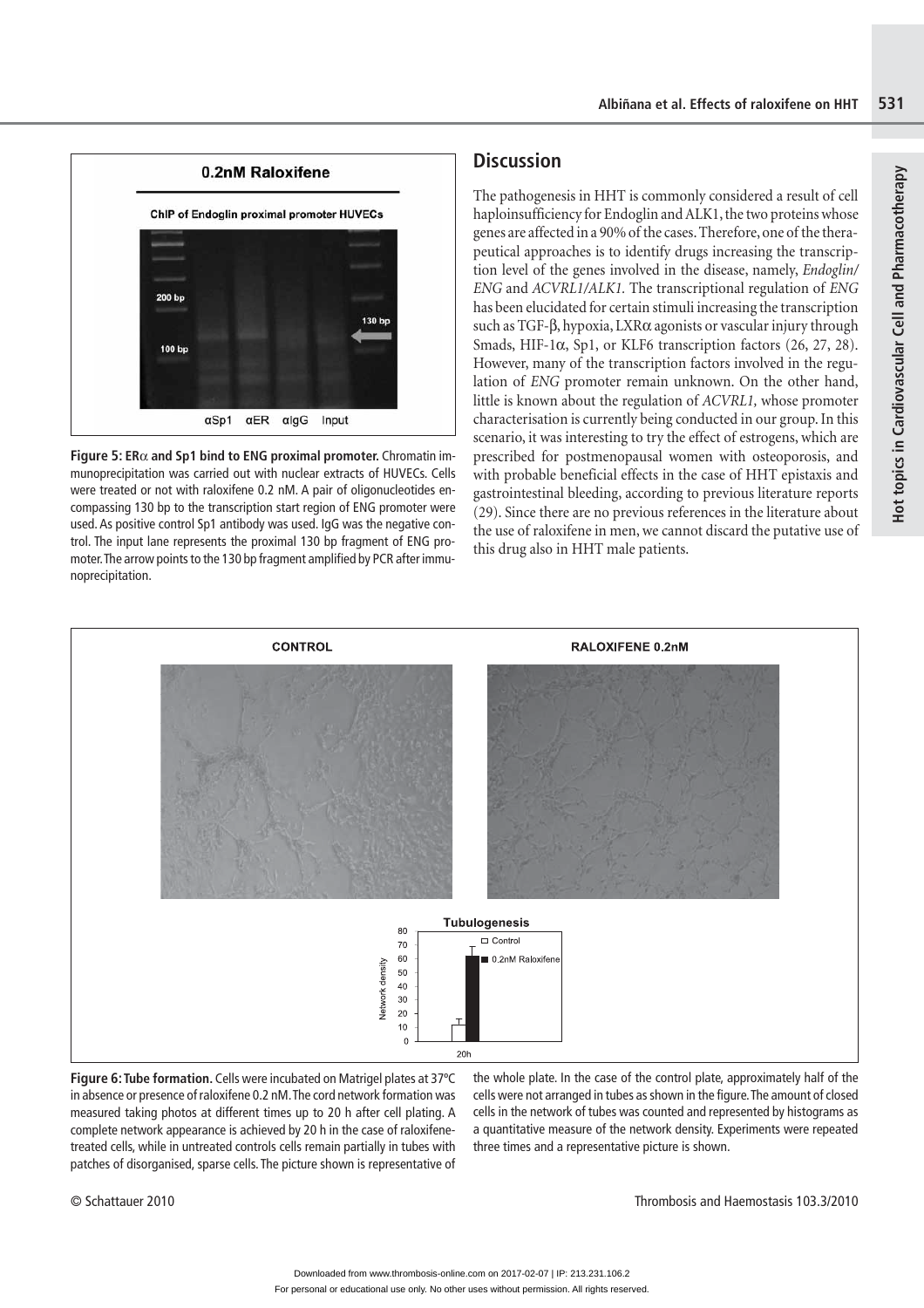**Hot topics in Cardiovascular Cell and Pharmacotherapy**

Hot topics in Cardiovascular Cell and Pharmacotherapy



**Figure 5: ER**α **and Sp1 bind to ENG proximal promoter.** Chromatin immunoprecipitation was carried out with nuclear extracts of HUVECs. Cells were treated or not with raloxifene 0.2 nM. A pair of oligonucleotides encompassing 130 bp to the transcription start region of ENG promoter were used. As positive control Sp1 antibody was used. IgG was the negative control. The input lane represents the proximal 130 bp fragment of ENG promoter. The arrow points to the 130 bp fragment amplified by PCR after immunoprecipitation.

# **Discussion**

The pathogenesis in HHT is commonly considered a result of cell haploinsufficiency for Endoglin and ALK1, the two proteins whose genes are affected in a 90% of the cases. Therefore, one of the therapeutical approaches is to identify drugs increasing the transcription level of the genes involved in the disease, namely, *Endoglin/ ENG* and *ACVRL1/ALK1.* The transcriptional regulation of *ENG* has been elucidated for certain stimuli increasing the transcription such as TGF-β, hypoxia, LXRα agonists or vascular injury through Smads, HIF-1α, Sp1, or KLF6 transcription factors (26, 27, 28). However, many of the transcription factors involved in the regulation of *ENG* promoter remain unknown. On the other hand, little is known about the regulation of *ACVRL1,* whose promoter characterisation is currently being conducted in our group. In this scenario, it was interesting to try the effect of estrogens, which are prescribed for postmenopausal women with osteoporosis, and with probable beneficial effects in the case of HHT epistaxis and gastrointestinal bleeding, according to previous literature reports (29). Since there are no previous references in the literature about the use of raloxifene in men, we cannot discard the putative use of this drug also in HHT male patients.



**Figure 6: Tube formation.** Cells were incubated on Matrigel plates at 37ºC in absence or presence of raloxifene 0.2 nM. The cord network formation was measured taking photos at different times up to 20 h after cell plating. A complete network appearance is achieved by 20 h in the case of raloxifenetreated cells, while in untreated controls cells remain partially in tubes with patches of disorganised, sparse cells. The picture shown is representative of

the whole plate. In the case of the control plate, approximately half of the cells were not arranged in tubes as shown in the figure. The amount of closed cells in the network of tubes was counted and represented by histograms as a quantitative measure of the network density. Experiments were repeated three times and a representative picture is shown.

© Schattauer 2010 Thrombosis and Haemostasis 103.3/2010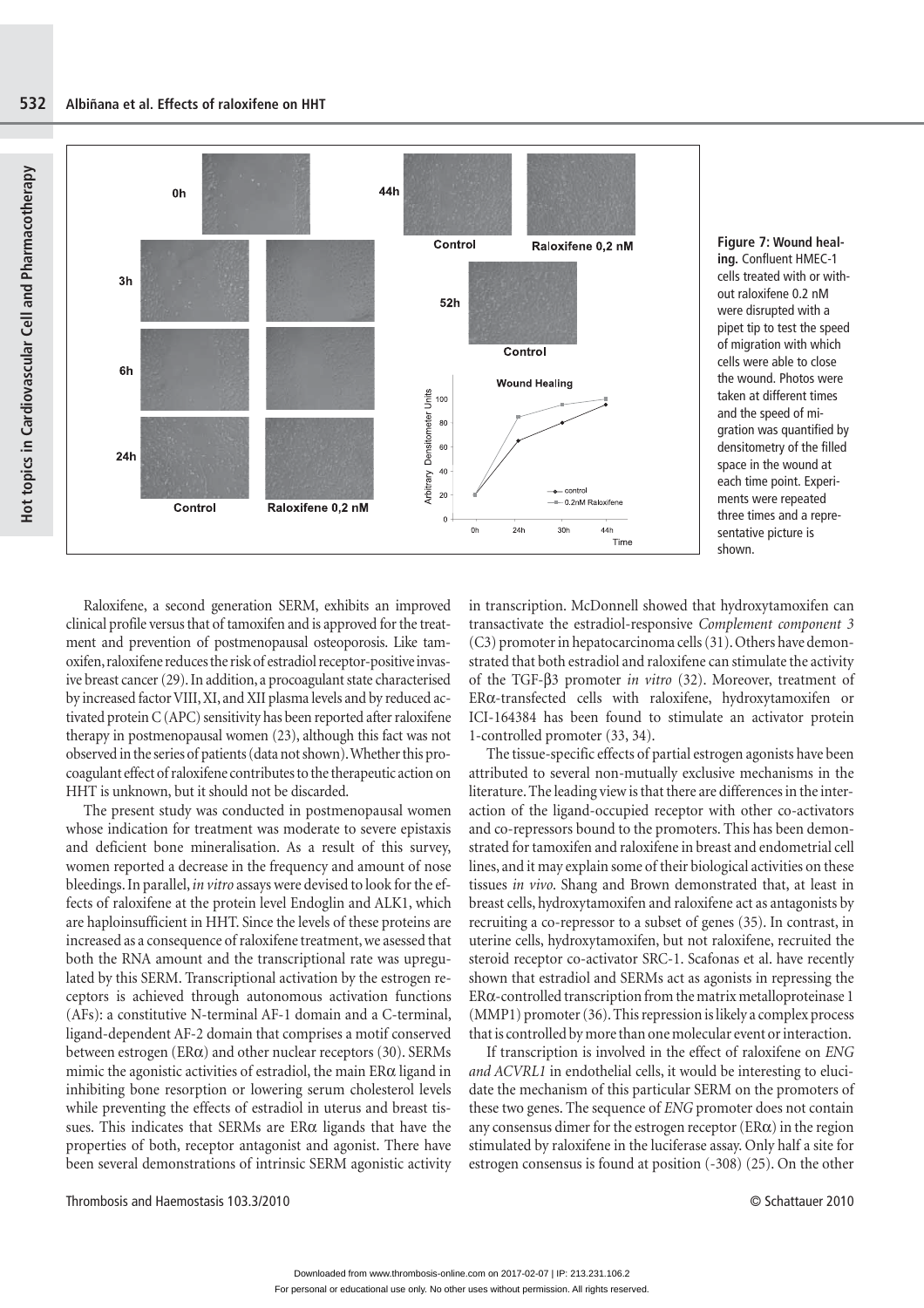

**Figure 7: Wound healing.** Confluent HMEC-1 cells treated with or without raloxifene 0.2 nM were disrupted with a pipet tip to test the speed of migration with which cells were able to close the wound. Photos were taken at different times and the speed of migration was quantified by densitometry of the filled space in the wound at each time point. Experiments were repeated three times and a representative picture is shown.

Raloxifene, a second generation SERM, exhibits an improved clinical profile versus that of tamoxifen and is approved for the treatment and prevention of postmenopausal osteoporosis. Like tamoxifen, raloxifene reduces the risk of estradiol receptor-positive invasive breast cancer (29). In addition, a procoagulant state characterised by increased factor VIII, XI, and XII plasma levels and by reduced activated protein C (APC) sensitivity has been reported after raloxifene therapy in postmenopausal women (23), although this fact was not observed in the series of patients (data not shown). Whether this procoagulant effect of raloxifene contributes to the therapeutic action on HHT is unknown, but it should not be discarded.

The present study was conducted in postmenopausal women whose indication for treatment was moderate to severe epistaxis and deficient bone mineralisation. As a result of this survey, women reported a decrease in the frequency and amount of nose bleedings. In parallel, *in vitro* assays were devised to look for the effects of raloxifene at the protein level Endoglin and ALK1, which are haploinsufficient in HHT. Since the levels of these proteins are increased as a consequence of raloxifene treatment, we asessed that both the RNA amount and the transcriptional rate was upregulated by this SERM. Transcriptional activation by the estrogen receptors is achieved through autonomous activation functions (AFs): a constitutive N-terminal AF-1 domain and a C-terminal, ligand-dependent AF-2 domain that comprises a motif conserved between estrogen ( $ER\alpha$ ) and other nuclear receptors (30). SERMs mimic the agonistic activities of estradiol, the main ERα ligand in inhibiting bone resorption or lowering serum cholesterol levels while preventing the effects of estradiol in uterus and breast tissues. This indicates that SERMs are  $ER\alpha$  ligands that have the properties of both, receptor antagonist and agonist. There have been several demonstrations of intrinsic SERM agonistic activity

in transcription. McDonnell showed that hydroxytamoxifen can transactivate the estradiol-responsive *Complement component 3* (C3) promoter in hepatocarcinoma cells (31). Others have demonstrated that both estradiol and raloxifene can stimulate the activity of the TGF-β3 promoter *in vitro* (32). Moreover, treatment of ERα-transfected cells with raloxifene, hydroxytamoxifen or ICI-164384 has been found to stimulate an activator protein 1-controlled promoter (33, 34).

The tissue-specific effects of partial estrogen agonists have been attributed to several non-mutually exclusive mechanisms in the literature. The leading view is that there are differences in the interaction of the ligand-occupied receptor with other co-activators and co-repressors bound to the promoters. This has been demonstrated for tamoxifen and raloxifene in breast and endometrial cell lines, and it may explain some of their biological activities on these tissues *in vivo*. Shang and Brown demonstrated that, at least in breast cells, hydroxytamoxifen and raloxifene act as antagonists by recruiting a co-repressor to a subset of genes (35). In contrast, in uterine cells, hydroxytamoxifen, but not raloxifene, recruited the steroid receptor co-activator SRC-1. Scafonas et al. have recently shown that estradiol and SERMs act as agonists in repressing the ERα-controlled transcription from the matrix metalloproteinase 1 (MMP1) promoter (36). This repression is likely a complex process that is controlled by more than one molecular event or interaction.

If transcription is involved in the effect of raloxifene on *ENG and ACVRL1* in endothelial cells, it would be interesting to elucidate the mechanism of this particular SERM on the promoters of these two genes. The sequence of *ENG* promoter does not contain any consensus dimer for the estrogen receptor  $(ER\alpha)$  in the region stimulated by raloxifene in the luciferase assay. Only half a site for estrogen consensus is found at position (-308) (25). On the other

Thrombosis and Haemostasis 103.3/2010 © Schattauer 2010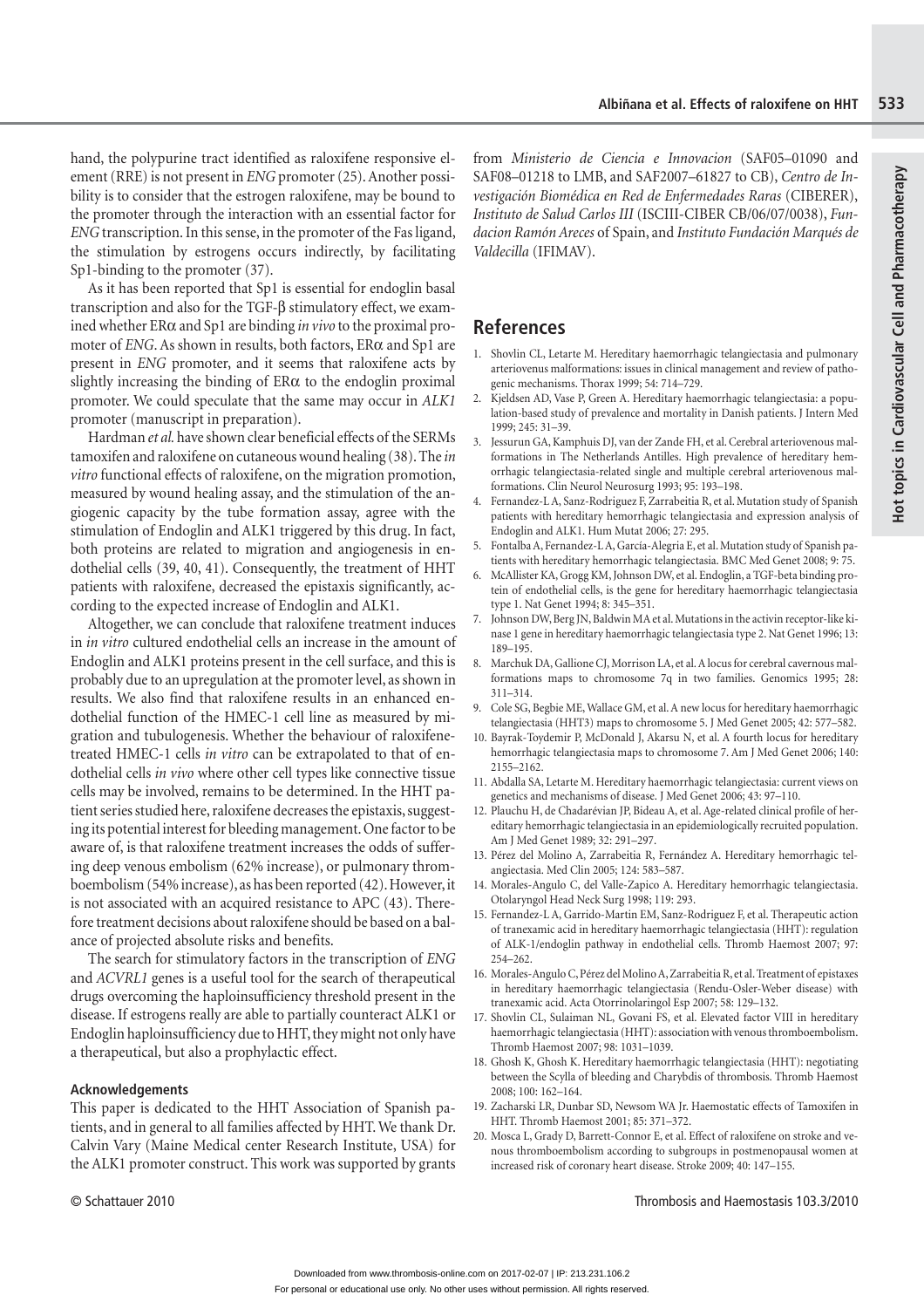hand, the polypurine tract identified as raloxifene responsive element (RRE) is not present in *ENG* promoter (25). Another possibility is to consider that the estrogen raloxifene, may be bound to the promoter through the interaction with an essential factor for *ENG* transcription. In this sense, in the promoter of the Fas ligand, the stimulation by estrogens occurs indirectly, by facilitating Sp1-binding to the promoter (37).

As it has been reported that Sp1 is essential for endoglin basal transcription and also for the TGF-β stimulatory effect, we examined whether ERα and Sp1 are binding *in vivo* to the proximal promoter of *ENG*. As shown in results, both factors, ERα and Sp1 are present in *ENG* promoter, and it seems that raloxifene acts by slightly increasing the binding of ERα to the endoglin proximal promoter. We could speculate that the same may occur in *ALK1* promoter (manuscript in preparation).

Hardman *et al.* have shown clear beneficial effects of the SERMs tamoxifen and raloxifene on cutaneous wound healing (38). The *in vitro* functional effects of raloxifene, on the migration promotion, measured by wound healing assay, and the stimulation of the angiogenic capacity by the tube formation assay, agree with the stimulation of Endoglin and ALK1 triggered by this drug. In fact, both proteins are related to migration and angiogenesis in endothelial cells (39, 40, 41). Consequently, the treatment of HHT patients with raloxifene, decreased the epistaxis significantly, according to the expected increase of Endoglin and ALK1.

Altogether, we can conclude that raloxifene treatment induces in *in vitro* cultured endothelial cells an increase in the amount of Endoglin and ALK1 proteins present in the cell surface, and this is probably due to an upregulation at the promoter level, as shown in results. We also find that raloxifene results in an enhanced endothelial function of the HMEC-1 cell line as measured by migration and tubulogenesis. Whether the behaviour of raloxifenetreated HMEC-1 cells *in vitro* can be extrapolated to that of endothelial cells *in vivo* where other cell types like connective tissue cells may be involved, remains to be determined. In the HHT patient series studied here, raloxifene decreases the epistaxis, suggesting its potential interest for bleeding management. One factor to be aware of, is that raloxifene treatment increases the odds of suffering deep venous embolism (62% increase), or pulmonary thromboembolism (54% increase), as has been reported (42). However, it is not associated with an acquired resistance to APC (43). Therefore treatment decisions about raloxifene should be based on a balance of projected absolute risks and benefits.

The search for stimulatory factors in the transcription of *ENG*  and *ACVRL1* genes is a useful tool for the search of therapeutical drugs overcoming the haploinsufficiency threshold present in the disease. If estrogens really are able to partially counteract ALK1 or Endoglin haploinsufficiency due to HHT, they might not only have a therapeutical, but also a prophylactic effect.

### **Acknowledgements**

This paper is dedicated to the HHT Association of Spanish patients, and in general to all families affected by HHT. We thank Dr. Calvin Vary (Maine Medical center Research Institute, USA) for the ALK1 promoter construct. This work was supported by grants

from *Ministerio de Ciencia e Innovacion* (SAF05–01090 and SAF08–01218 to LMB, and SAF2007–61827 to CB), *Centro de Investigación Biomédica en Red de Enfermedades Raras* (CIBERER), *Instituto de Salud Carlos III* (ISCIII-CIBER CB/06/07/0038), *Fundacion Ramón Areces* of Spain, and *Instituto Fundación Marqués de Valdecilla* (IFIMAV).

### **References**

- 1. Shovlin CL, Letarte M. Hereditary haemorrhagic telangiectasia and pulmonary arteriovenus malformations: issues in clinical management and review of pathogenic mechanisms. Thorax 1999; 54: 714–729.
- 2. Kjeldsen AD, Vase P, Green A. Hereditary haemorrhagic telangiectasia: a population-based study of prevalence and mortality in Danish patients. J Intern Med 1999; 245: 31–39.
- 3. Jessurun GA, Kamphuis DJ, van der Zande FH, et al. Cerebral arteriovenous malformations in The Netherlands Antilles. High prevalence of hereditary hemorrhagic telangiectasia-related single and multiple cerebral arteriovenous malformations. Clin Neurol Neurosurg 1993; 95: 193–198.
- 4. Fernandez-L A, Sanz-Rodriguez F, Zarrabeitia R, et al. Mutation study of Spanish patients with hereditary hemorrhagic telangiectasia and expression analysis of Endoglin and ALK1. Hum Mutat 2006; 27: 295.
- 5. Fontalba A, Fernandez-L A, García-Alegria E, et al. Mutation study of Spanish patients with hereditary hemorrhagic telangiectasia. BMC Med Genet 2008; 9: 75.
- 6. McAllister KA, Grogg KM, Johnson DW, et al. Endoglin, a TGF-beta binding protein of endothelial cells, is the gene for hereditary haemorrhagic telangiectasia type 1. Nat Genet 1994; 8: 345–351.
- 7. Johnson DW, Berg JN, Baldwin MA et al. Mutations in the activin receptor-like kinase 1 gene in hereditary haemorrhagic telangiectasia type 2. Nat Genet 1996; 13: 189–195.
- 8. Marchuk DA, Gallione CJ, Morrison LA, et al. A locus for cerebral cavernous malformations maps to chromosome 7q in two families. Genomics 1995; 28: 311–314.
- 9. Cole SG, Begbie ME, Wallace GM, et al. A new locus for hereditary haemorrhagic telangiectasia (HHT3) maps to chromosome 5. J Med Genet 2005; 42: 577–582.
- 10. Bayrak-Toydemir P, McDonald J, Akarsu N, et al. A fourth locus for hereditary hemorrhagic telangiectasia maps to chromosome 7. Am J Med Genet 2006; 140: 2155–2162.
- 11. Abdalla SA, Letarte M. Hereditary haemorrhagic telangiectasia: current views on genetics and mechanisms of disease. J Med Genet 2006; 43: 97–110.
- 12. Plauchu H, de Chadarévian JP, Bideau A, et al. Age-related clinical profile of hereditary hemorrhagic telangiectasia in an epidemiologically recruited population. Am J Med Genet 1989; 32: 291–297.
- 13. Pérez del Molino A, Zarrabeitia R, Fernández A. Hereditary hemorrhagic telangiectasia. Med Clin 2005; 124: 583–587.
- 14. Morales-Angulo C, del Valle-Zapico A. Hereditary hemorrhagic telangiectasia. Otolaryngol Head Neck Surg 1998; 119: 293.
- 15. Fernandez-L A, Garrido-Martin EM, Sanz-Rodriguez F, et al. Therapeutic action of tranexamic acid in hereditary haemorrhagic telangiectasia (HHT): regulation of ALK-1/endoglin pathway in endothelial cells. Thromb Haemost 2007; 97: 254–262.
- 16. Morales-Angulo C, Pérez del Molino A, Zarrabeitia R, et al. Treatment of epistaxes in hereditary haemorrhagic telangiectasia (Rendu-Osler-Weber disease) with tranexamic acid. Acta Otorrinolaringol Esp 2007; 58: 129–132.
- 17. Shovlin CL, Sulaiman NL, Govani FS, et al. Elevated factor VIII in hereditary haemorrhagic telangiectasia (HHT): association with venous thromboembolism. Thromb Haemost 2007; 98: 1031–1039.
- 18. Ghosh K, Ghosh K. Hereditary haemorrhagic telangiectasia (HHT): negotiating between the Scylla of bleeding and Charybdis of thrombosis. Thromb Haemost 2008; 100: 162–164.
- 19. Zacharski LR, Dunbar SD, Newsom WA Jr. Haemostatic effects of Tamoxifen in HHT. Thromb Haemost 2001; 85: 371–372.
- 20. Mosca L, Grady D, Barrett-Connor E, et al. Effect of raloxifene on stroke and venous thromboembolism according to subgroups in postmenopausal women at increased risk of coronary heart disease. Stroke 2009; 40: 147–155.

© Schattauer 2010 Thrombosis and Haemostasis 103.3/2010